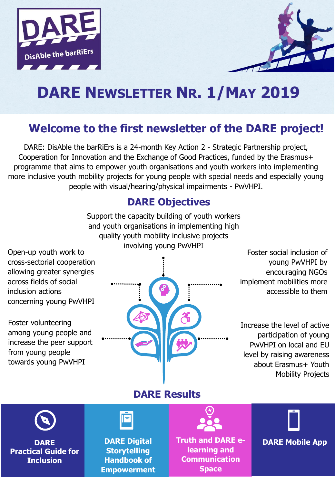



# **DARE NEWSLETTER NR. 1/MAY 2019**

### **Welcome to the first newsletter of the DARE project!**

DARE: DisAble the barRiErs is a 24-month Key Action 2 - Strategic Partnership project, Cooperation for Innovation and the Exchange of Good Practices, funded by the Erasmus+ programme that aims to empower youth organisations and youth workers into implementing more inclusive youth mobility projects for young people with special needs and especially young people with visual/hearing/physical impairments - PwVHPI.

### **DARE Objectives**

Support the capacity building of youth workers and youth organisations in implementing high quality youth mobility inclusive projects involving young PwVHPI

Open-up youth work to cross-sectorial cooperation allowing greater synergies across fields of social inclusion actions concerning young PwVHPI

. increase the peer support Foster volunteering among young people and from young people towards young PwVHPI



Foster social inclusion of young PwVHPI by encouraging NGOs implement mobilities more accessible to them

Increase the level of active participation of young PwVHPI on local and EU level by raising awareness about Erasmus+ Youth Mobility Projects

**DARE Results**

**DARE Practical Guide for Inclusion**

**DARE Digital Storytelling Handbook of Empowerment** **Truth and DARE elearning and Communication Space** 

**DARE Mobile App**